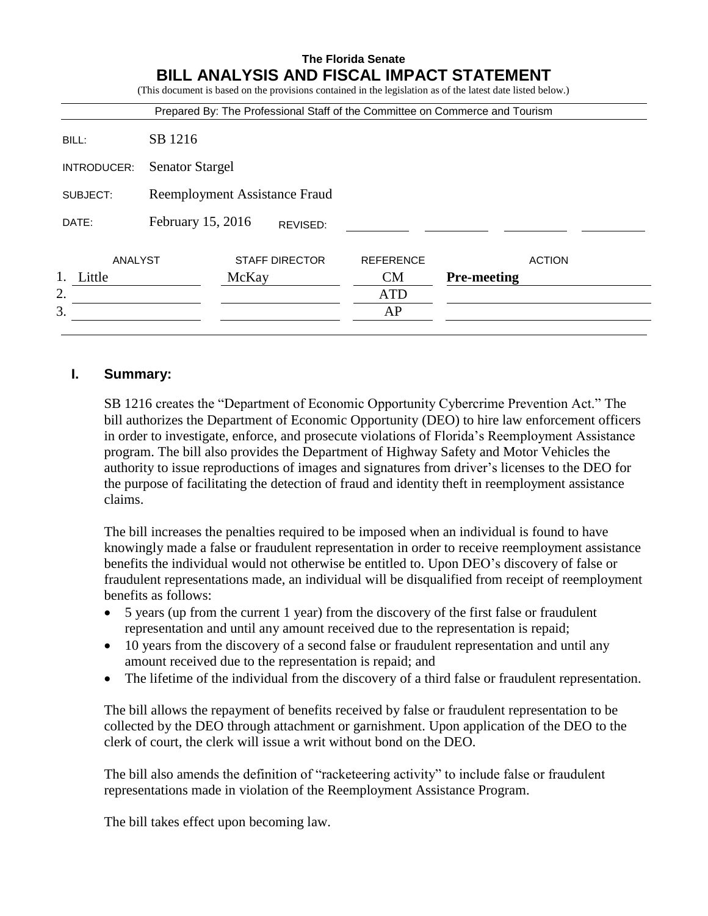|             |                        |       |                               | Prepared By: The Professional Staff of the Committee on Commerce and Tourism |                    |               |
|-------------|------------------------|-------|-------------------------------|------------------------------------------------------------------------------|--------------------|---------------|
| BILL:       | SB 1216                |       |                               |                                                                              |                    |               |
| INTRODUCER: | <b>Senator Stargel</b> |       |                               |                                                                              |                    |               |
| SUBJECT:    |                        |       | Reemployment Assistance Fraud |                                                                              |                    |               |
| DATE:       | February 15, 2016      |       | REVISED:                      |                                                                              |                    |               |
| ANALYST     |                        |       | <b>STAFF DIRECTOR</b>         | <b>REFERENCE</b>                                                             |                    | <b>ACTION</b> |
| 1. Little   |                        | McKay |                               | CM                                                                           | <b>Pre-meeting</b> |               |
| 2.          |                        |       |                               | <b>ATD</b>                                                                   |                    |               |
| 3.          |                        |       |                               | AP                                                                           |                    |               |

# **I. Summary:**

SB 1216 creates the "Department of Economic Opportunity Cybercrime Prevention Act." The bill authorizes the Department of Economic Opportunity (DEO) to hire law enforcement officers in order to investigate, enforce, and prosecute violations of Florida's Reemployment Assistance program. The bill also provides the Department of Highway Safety and Motor Vehicles the authority to issue reproductions of images and signatures from driver's licenses to the DEO for the purpose of facilitating the detection of fraud and identity theft in reemployment assistance claims.

The bill increases the penalties required to be imposed when an individual is found to have knowingly made a false or fraudulent representation in order to receive reemployment assistance benefits the individual would not otherwise be entitled to. Upon DEO's discovery of false or fraudulent representations made, an individual will be disqualified from receipt of reemployment benefits as follows:

- 5 years (up from the current 1 year) from the discovery of the first false or fraudulent representation and until any amount received due to the representation is repaid;
- 10 years from the discovery of a second false or fraudulent representation and until any amount received due to the representation is repaid; and
- The lifetime of the individual from the discovery of a third false or fraudulent representation.

The bill allows the repayment of benefits received by false or fraudulent representation to be collected by the DEO through attachment or garnishment. Upon application of the DEO to the clerk of court, the clerk will issue a writ without bond on the DEO.

The bill also amends the definition of "racketeering activity" to include false or fraudulent representations made in violation of the Reemployment Assistance Program.

The bill takes effect upon becoming law.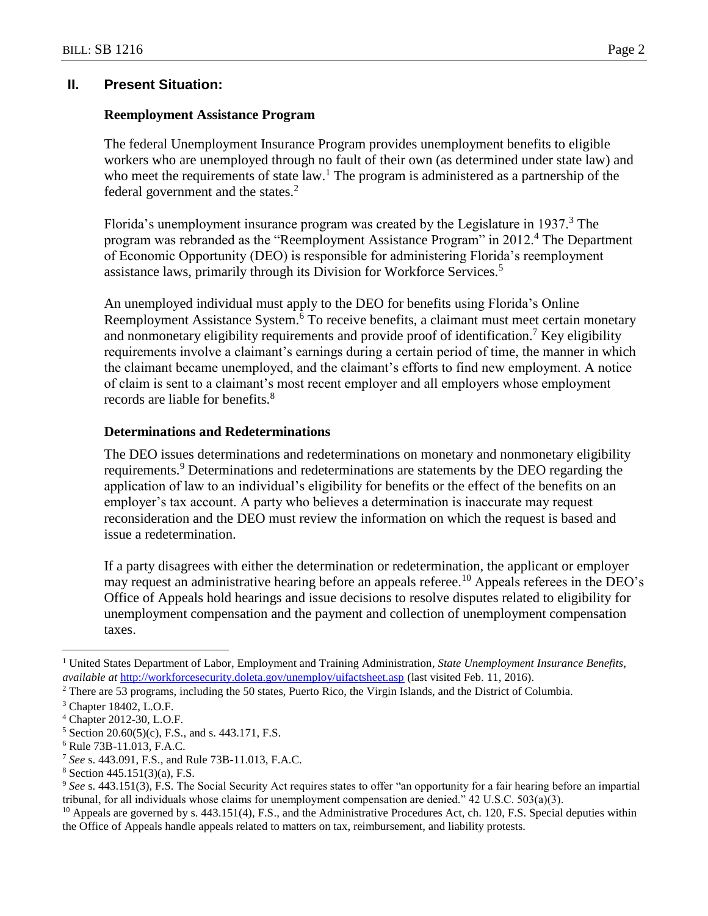### **II. Present Situation:**

### **Reemployment Assistance Program**

The federal Unemployment Insurance Program provides unemployment benefits to eligible workers who are unemployed through no fault of their own (as determined under state law) and who meet the requirements of state  $law<sup>1</sup>$ . The program is administered as a partnership of the federal government and the states.<sup>2</sup>

Florida's unemployment insurance program was created by the Legislature in 1937. $3$  The program was rebranded as the "Reemployment Assistance Program" in 2012.<sup>4</sup> The Department of Economic Opportunity (DEO) is responsible for administering Florida's reemployment assistance laws, primarily through its Division for Workforce Services.<sup>5</sup>

An unemployed individual must apply to the DEO for benefits using Florida's Online Reemployment Assistance System.<sup>6</sup> To receive benefits, a claimant must meet certain monetary and nonmonetary eligibility requirements and provide proof of identification.<sup>7</sup> Key eligibility requirements involve a claimant's earnings during a certain period of time, the manner in which the claimant became unemployed, and the claimant's efforts to find new employment. A notice of claim is sent to a claimant's most recent employer and all employers whose employment records are liable for benefits.<sup>8</sup>

### **Determinations and Redeterminations**

The DEO issues determinations and redeterminations on monetary and nonmonetary eligibility requirements.<sup>9</sup> Determinations and redeterminations are statements by the DEO regarding the application of law to an individual's eligibility for benefits or the effect of the benefits on an employer's tax account. A party who believes a determination is inaccurate may request reconsideration and the DEO must review the information on which the request is based and issue a redetermination.

If a party disagrees with either the determination or redetermination, the applicant or employer may request an administrative hearing before an appeals referee.<sup>10</sup> Appeals referees in the DEO's Office of Appeals hold hearings and issue decisions to resolve disputes related to eligibility for unemployment compensation and the payment and collection of unemployment compensation taxes.

 $\overline{a}$ 

<sup>1</sup> United States Department of Labor, Employment and Training Administration*, State Unemployment Insurance Benefits, available at* <http://workforcesecurity.doleta.gov/unemploy/uifactsheet.asp> [\(](http://workforcesecurity.doleta.gov/unemploy/uifactsheet.asp)last visited Feb. 11, 2016).

<sup>2</sup> There are 53 programs, including the 50 states, Puerto Rico, the Virgin Islands, and the District of Columbia.

<sup>3</sup> Chapter 18402, L.O.F.

<sup>4</sup> Chapter 2012-30, L.O.F.

<sup>5</sup> Section 20.60(5)(c), F.S., and s. 443.171, F.S.

<sup>6</sup> Rule 73B-11.013, F.A.C.

<sup>7</sup> *See* s. 443.091, F.S., and Rule 73B-11.013, F.A.C.

<sup>8</sup> Section 445.151(3)(a), F.S.

<sup>9</sup> *See* s. 443.151(3), F.S. The Social Security Act requires states to offer "an opportunity for a fair hearing before an impartial tribunal, for all individuals whose claims for unemployment compensation are denied." 42 U.S.C. 503(a)(3).

 $10$  Appeals are governed by s. 443.151(4), F.S., and the Administrative Procedures Act, ch. 120, F.S. Special deputies within the Office of Appeals handle appeals related to matters on tax, reimbursement, and liability protests.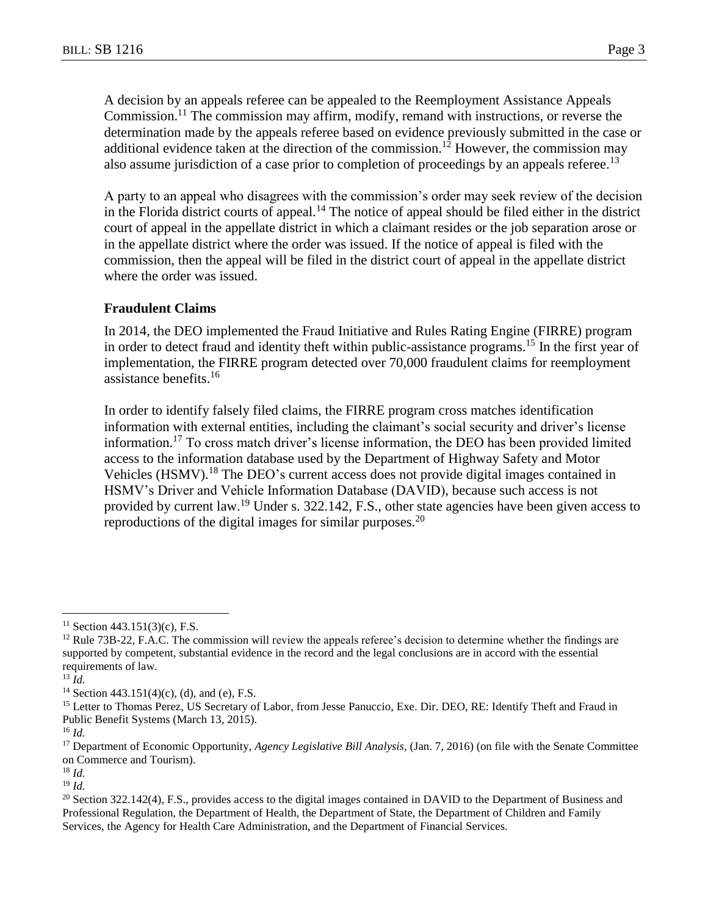A decision by an appeals referee can be appealed to the Reemployment Assistance Appeals Commission.<sup>11</sup> The commission may affirm, modify, remand with instructions, or reverse the determination made by the appeals referee based on evidence previously submitted in the case or additional evidence taken at the direction of the commission.<sup>12</sup> However, the commission may also assume jurisdiction of a case prior to completion of proceedings by an appeals referee.<sup>13</sup>

A party to an appeal who disagrees with the commission's order may seek review of the decision in the Florida district courts of appeal.<sup>14</sup> The notice of appeal should be filed either in the district court of appeal in the appellate district in which a claimant resides or the job separation arose or in the appellate district where the order was issued. If the notice of appeal is filed with the commission, then the appeal will be filed in the district court of appeal in the appellate district where the order was issued.

### **Fraudulent Claims**

In 2014, the DEO implemented the Fraud Initiative and Rules Rating Engine (FIRRE) program in order to detect fraud and identity theft within public-assistance programs.<sup>15</sup> In the first year of implementation, the FIRRE program detected over 70,000 fraudulent claims for reemployment assistance benefits.<sup>16</sup>

In order to identify falsely filed claims, the FIRRE program cross matches identification information with external entities, including the claimant's social security and driver's license information.<sup>17</sup> To cross match driver's license information, the DEO has been provided limited access to the information database used by the Department of Highway Safety and Motor Vehicles (HSMV).<sup>18</sup> The DEO's current access does not provide digital images contained in HSMV's Driver and Vehicle Information Database (DAVID), because such access is not provided by current law.<sup>19</sup> Under s. 322.142, F.S., other state agencies have been given access to reproductions of the digital images for similar purposes.<sup>20</sup>

 $\overline{a}$ 

<sup>18</sup> *Id.*

<sup>19</sup> *Id.*

 $11$  Section 443.151(3)(c), F.S.

 $12$  Rule 73B-22, F.A.C. The commission will review the appeals referee's decision to determine whether the findings are supported by competent, substantial evidence in the record and the legal conclusions are in accord with the essential requirements of law.

<sup>13</sup> *Id.*

<sup>&</sup>lt;sup>14</sup> Section 443.151(4)(c), (d), and (e), F.S.

<sup>&</sup>lt;sup>15</sup> Letter to Thomas Perez, US Secretary of Labor, from Jesse Panuccio, Exe. Dir. DEO, RE: Identify Theft and Fraud in Public Benefit Systems (March 13, 2015).

<sup>16</sup> *Id.*

<sup>17</sup> Department of Economic Opportunity, *Agency Legislative Bill Analysis*, (Jan. 7, 2016) (on file with the Senate Committee on Commerce and Tourism).

 $20$  Section 322.142(4), F.S., provides access to the digital images contained in DAVID to the Department of Business and Professional Regulation, the Department of Health, the Department of State, the Department of Children and Family Services, the Agency for Health Care Administration, and the Department of Financial Services.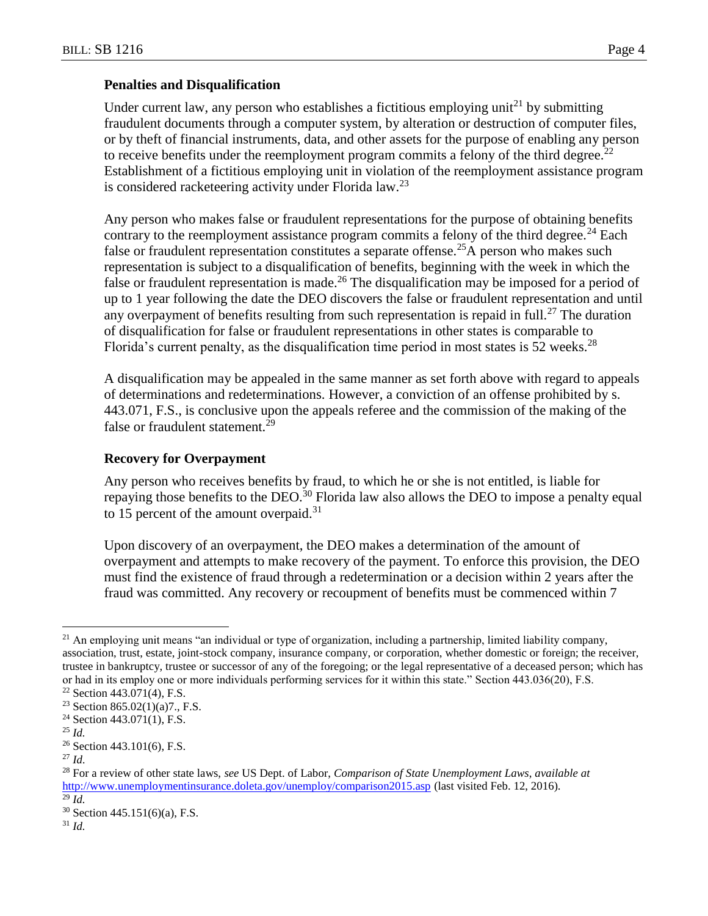### **Penalties and Disqualification**

Under current law, any person who establishes a fictitious employing unit<sup>21</sup> by submitting fraudulent documents through a computer system, by alteration or destruction of computer files, or by theft of financial instruments, data, and other assets for the purpose of enabling any person to receive benefits under the reemployment program commits a felony of the third degree.<sup>22</sup> Establishment of a fictitious employing unit in violation of the reemployment assistance program is considered racketeering activity under Florida law.<sup>23</sup>

Any person who makes false or fraudulent representations for the purpose of obtaining benefits contrary to the reemployment assistance program commits a felony of the third degree.<sup>24</sup> Each false or fraudulent representation constitutes a separate offense.<sup>25</sup>A person who makes such representation is subject to a disqualification of benefits, beginning with the week in which the false or fraudulent representation is made.<sup>26</sup> The disqualification may be imposed for a period of up to 1 year following the date the DEO discovers the false or fraudulent representation and until any overpayment of benefits resulting from such representation is repaid in full.<sup>27</sup> The duration of disqualification for false or fraudulent representations in other states is comparable to Florida's current penalty, as the disqualification time period in most states is  $52$  weeks.<sup>28</sup>

A disqualification may be appealed in the same manner as set forth above with regard to appeals of determinations and redeterminations. However, a conviction of an offense prohibited by s. 443.071, F.S., is conclusive upon the appeals referee and the commission of the making of the false or fraudulent statement.<sup>29</sup>

### **Recovery for Overpayment**

Any person who receives benefits by fraud, to which he or she is not entitled, is liable for repaying those benefits to the DEO.<sup>30</sup> Florida law also allows the DEO to impose a penalty equal to 15 percent of the amount overpaid.<sup>31</sup>

Upon discovery of an overpayment, the DEO makes a determination of the amount of overpayment and attempts to make recovery of the payment. To enforce this provision, the DEO must find the existence of fraud through a redetermination or a decision within 2 years after the fraud was committed. Any recovery or recoupment of benefits must be commenced within 7

 $\overline{a}$  $^{21}$  An employing unit means "an individual or type of organization, including a partnership, limited liability company, association, trust, estate, joint-stock company, insurance company, or corporation, whether domestic or foreign; the receiver, trustee in bankruptcy, trustee or successor of any of the foregoing; or the legal representative of a deceased person; which has or had in its employ one or more individuals performing services for it within this state." Section 443.036(20), F.S.

 $22$  Section 443.071(4), F.S.

<sup>&</sup>lt;sup>23</sup> Section 865.02(1)(a)7., F.S.

 $24$  Section 443.071(1), F.S.

<sup>25</sup> *Id.*

<sup>26</sup> Section 443.101(6), F.S.

<sup>27</sup> *Id.*

<sup>28</sup> For a review of other state laws, *see* US Dept. of Labor, *Comparison of State Unemployment Laws*, *available at* <http://www.unemploymentinsurance.doleta.gov/unemploy/comparison2015.asp> (last visited Feb. 12, 2016). <sup>29</sup> *Id.*

 $30$  Section 445.151(6)(a), F.S.

<sup>31</sup> *Id.*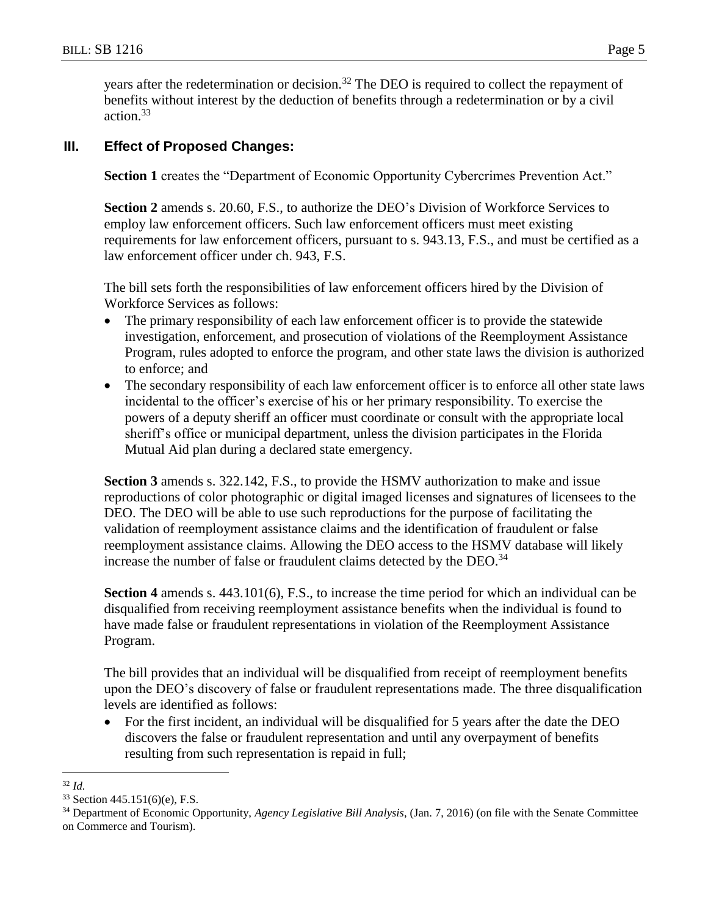years after the redetermination or decision.<sup>32</sup> The DEO is required to collect the repayment of benefits without interest by the deduction of benefits through a redetermination or by a civil action.<sup>33</sup>

# **III. Effect of Proposed Changes:**

**Section 1** creates the "Department of Economic Opportunity Cybercrimes Prevention Act."

**Section 2** amends s. 20.60, F.S., to authorize the DEO's Division of Workforce Services to employ law enforcement officers. Such law enforcement officers must meet existing requirements for law enforcement officers, pursuant to s. 943.13, F.S., and must be certified as a law enforcement officer under ch. 943, F.S.

The bill sets forth the responsibilities of law enforcement officers hired by the Division of Workforce Services as follows:

- The primary responsibility of each law enforcement officer is to provide the statewide investigation, enforcement, and prosecution of violations of the Reemployment Assistance Program, rules adopted to enforce the program, and other state laws the division is authorized to enforce; and
- The secondary responsibility of each law enforcement officer is to enforce all other state laws incidental to the officer's exercise of his or her primary responsibility. To exercise the powers of a deputy sheriff an officer must coordinate or consult with the appropriate local sheriff's office or municipal department, unless the division participates in the Florida Mutual Aid plan during a declared state emergency.

**Section 3** amends s. 322.142, F.S., to provide the HSMV authorization to make and issue reproductions of color photographic or digital imaged licenses and signatures of licensees to the DEO. The DEO will be able to use such reproductions for the purpose of facilitating the validation of reemployment assistance claims and the identification of fraudulent or false reemployment assistance claims. Allowing the DEO access to the HSMV database will likely increase the number of false or fraudulent claims detected by the DEO.<sup>34</sup>

**Section 4** amends s. 443.101(6), F.S., to increase the time period for which an individual can be disqualified from receiving reemployment assistance benefits when the individual is found to have made false or fraudulent representations in violation of the Reemployment Assistance Program.

The bill provides that an individual will be disqualified from receipt of reemployment benefits upon the DEO's discovery of false or fraudulent representations made. The three disqualification levels are identified as follows:

 For the first incident, an individual will be disqualified for 5 years after the date the DEO discovers the false or fraudulent representation and until any overpayment of benefits resulting from such representation is repaid in full;

 $\overline{a}$ <sup>32</sup> *Id.*

<sup>33</sup> Section 445.151(6)(e), F.S.

<sup>34</sup> Department of Economic Opportunity, *Agency Legislative Bill Analysis*, (Jan. 7, 2016) (on file with the Senate Committee on Commerce and Tourism).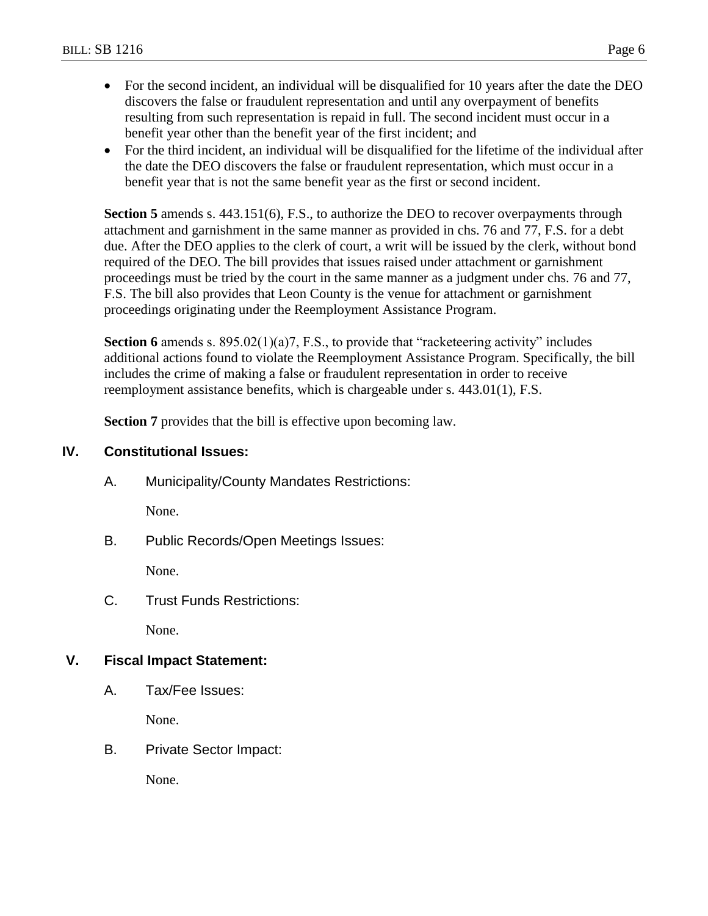- For the second incident, an individual will be disqualified for 10 years after the date the DEO discovers the false or fraudulent representation and until any overpayment of benefits resulting from such representation is repaid in full. The second incident must occur in a benefit year other than the benefit year of the first incident; and
- For the third incident, an individual will be disqualified for the lifetime of the individual after the date the DEO discovers the false or fraudulent representation, which must occur in a benefit year that is not the same benefit year as the first or second incident.

**Section 5** amends s. 443.151(6), F.S., to authorize the DEO to recover overpayments through attachment and garnishment in the same manner as provided in chs. 76 and 77, F.S. for a debt due. After the DEO applies to the clerk of court, a writ will be issued by the clerk, without bond required of the DEO. The bill provides that issues raised under attachment or garnishment proceedings must be tried by the court in the same manner as a judgment under chs. 76 and 77, F.S. The bill also provides that Leon County is the venue for attachment or garnishment proceedings originating under the Reemployment Assistance Program.

**Section 6** amends s. 895.02(1)(a)7, F.S., to provide that "racketeering activity" includes additional actions found to violate the Reemployment Assistance Program. Specifically, the bill includes the crime of making a false or fraudulent representation in order to receive reemployment assistance benefits, which is chargeable under s. 443.01(1), F.S.

**Section 7** provides that the bill is effective upon becoming law.

# **IV. Constitutional Issues:**

A. Municipality/County Mandates Restrictions:

None.

B. Public Records/Open Meetings Issues:

None.

C. Trust Funds Restrictions:

None.

# **V. Fiscal Impact Statement:**

A. Tax/Fee Issues:

None.

B. Private Sector Impact:

None.